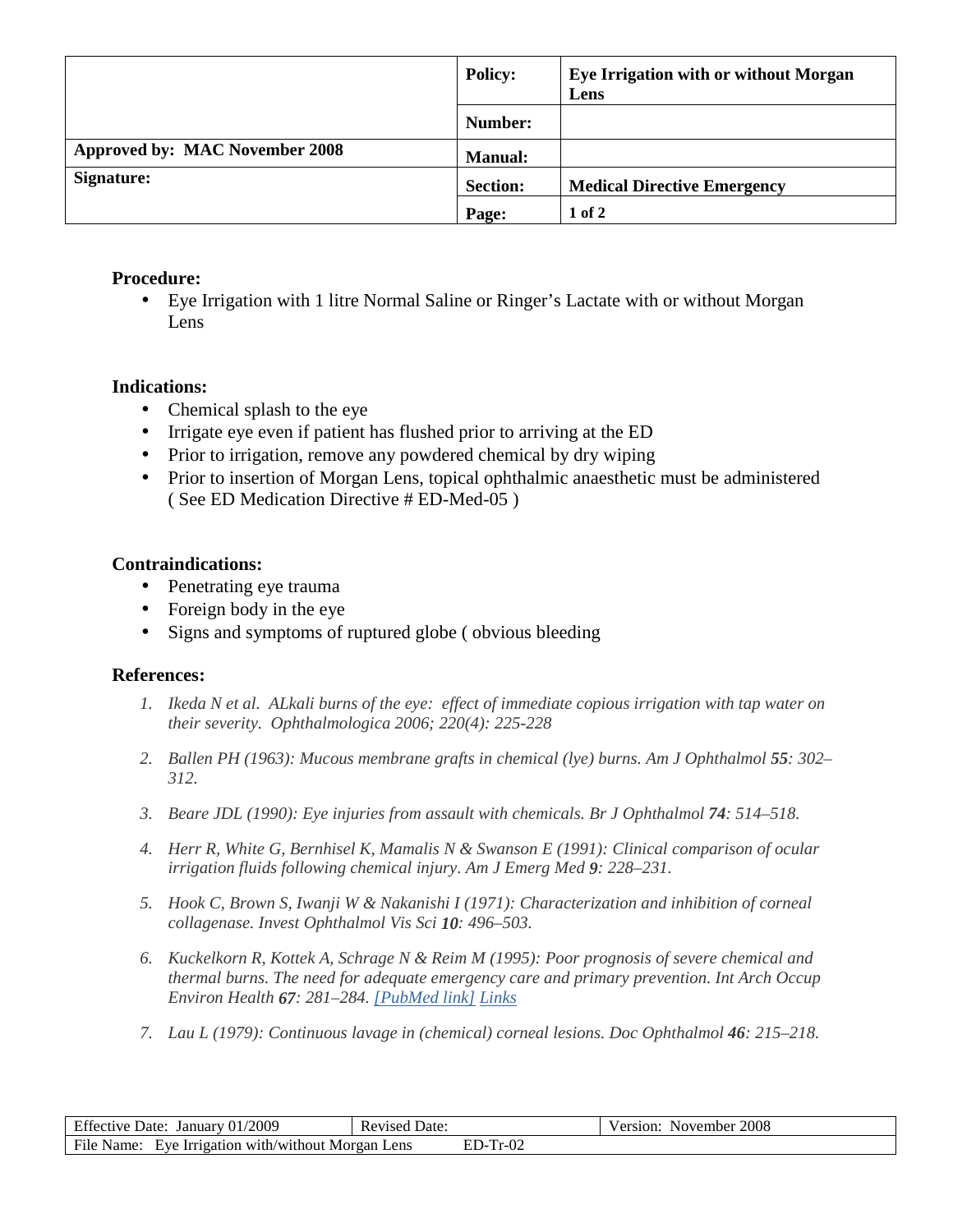|                                       | <b>Policy:</b>  | Eye Irrigation with or without Morgan<br>Lens |
|---------------------------------------|-----------------|-----------------------------------------------|
|                                       | Number:         |                                               |
| <b>Approved by: MAC November 2008</b> | <b>Manual:</b>  |                                               |
| Signature:                            | <b>Section:</b> | <b>Medical Directive Emergency</b>            |
|                                       | Page:           | $1$ of $2$                                    |

## **Procedure:**

• Eye Irrigation with 1 litre Normal Saline or Ringer's Lactate with or without Morgan Lens

## **Indications:**

- Chemical splash to the eye
- Irrigate eye even if patient has flushed prior to arriving at the ED
- Prior to irrigation, remove any powdered chemical by dry wiping
- Prior to insertion of Morgan Lens, topical ophthalmic anaesthetic must be administered ( See ED Medication Directive # ED-Med-05 )

## **Contraindications:**

- Penetrating eye trauma
- Foreign body in the eye
- Signs and symptoms of ruptured globe (obvious bleeding

## **References:**

- *1. Ikeda N et al. ALkali burns of the eye: effect of immediate copious irrigation with tap water on their severity. Ophthalmologica 2006; 220(4): 225-228*
- *2. Ballen PH (1963): Mucous membrane grafts in chemical (lye) burns. Am J Ophthalmol 55: 302– 312.*
- 3. Beare JDL (1990): Eye injuries from assault with chemicals. Br J Ophthalmol 74: 514–518.
- *4. Herr R, White G, Bernhisel K, Mamalis N & Swanson E (1991): Clinical comparison of ocular irrigation fluids following chemical injury. Am J Emerg Med 9: 228–231.*
- *5. Hook C, Brown S, Iwanji W & Nakanishi I (1971): Characterization and inhibition of corneal collagenase. Invest Ophthalmol Vis Sci 10: 496–503.*
- *6. Kuckelkorn R, Kottek A, Schrage N & Reim M (1995): Poor prognosis of severe chemical and thermal burns. The need for adequate emergency care and primary prevention. Int Arch Occup Environ Health 67: 281–284. [PubMed link] Links*
- *7. Lau L (1979): Continuous lavage in (chemical) corneal lesions. Doc Ophthalmol 46: 215–218.*

| Effective<br>'2009<br>January 01/<br>Date:                    | Date:<br>Revised | 2008<br>November<br>/ersion <sup>.</sup> |
|---------------------------------------------------------------|------------------|------------------------------------------|
| File<br>Irrigation with/without Morgan Lens '<br>Eve<br>Name: | - 1-<br>1 L I    |                                          |